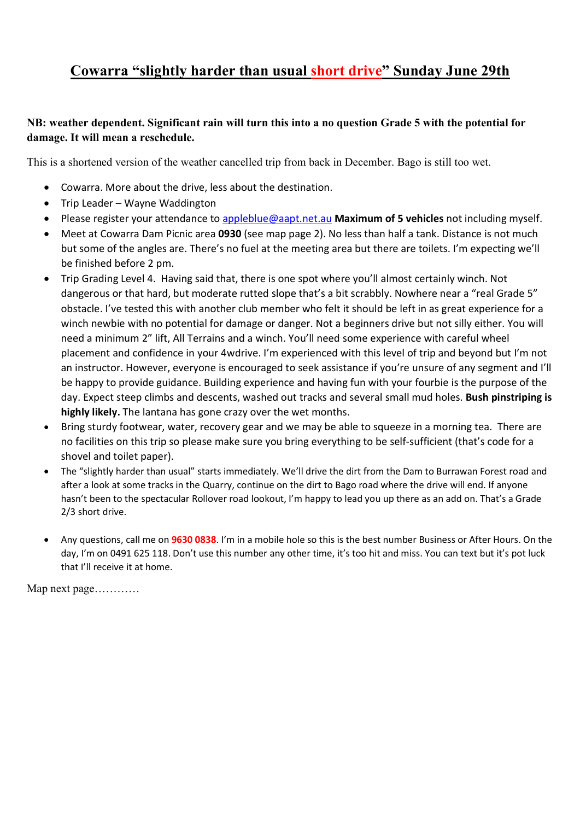## Cowarra "slightly harder than usual short drive" Sunday June 29th

## NB: weather dependent. Significant rain will turn this into a no question Grade 5 with the potential for damage. It will mean a reschedule.

This is a shortened version of the weather cancelled trip from back in December. Bago is still too wet.

- Cowarra. More about the drive, less about the destination.
- Trip Leader Wayne Waddington
- Please register your attendance to appleblue@aapt.net.au Maximum of 5 vehicles not including myself.
- Meet at Cowarra Dam Picnic area 0930 (see map page 2). No less than half a tank. Distance is not much but some of the angles are. There's no fuel at the meeting area but there are toilets. I'm expecting we'll be finished before 2 pm.
- Trip Grading Level 4. Having said that, there is one spot where you'll almost certainly winch. Not dangerous or that hard, but moderate rutted slope that's a bit scrabbly. Nowhere near a "real Grade 5" obstacle. I've tested this with another club member who felt it should be left in as great experience for a winch newbie with no potential for damage or danger. Not a beginners drive but not silly either. You will need a minimum 2" lift, All Terrains and a winch. You'll need some experience with careful wheel placement and confidence in your 4wdrive. I'm experienced with this level of trip and beyond but I'm not an instructor. However, everyone is encouraged to seek assistance if you're unsure of any segment and I'll be happy to provide guidance. Building experience and having fun with your fourbie is the purpose of the day. Expect steep climbs and descents, washed out tracks and several small mud holes. Bush pinstriping is highly likely. The lantana has gone crazy over the wet months.
- Bring sturdy footwear, water, recovery gear and we may be able to squeeze in a morning tea. There are no facilities on this trip so please make sure you bring everything to be self-sufficient (that's code for a shovel and toilet paper).
- The "slightly harder than usual" starts immediately. We'll drive the dirt from the Dam to Burrawan Forest road and after a look at some tracks in the Quarry, continue on the dirt to Bago road where the drive will end. If anyone hasn't been to the spectacular Rollover road lookout, I'm happy to lead you up there as an add on. That's a Grade 2/3 short drive.
- Any questions, call me on 9630 0838. I'm in a mobile hole so this is the best number Business or After Hours. On the day, I'm on 0491 625 118. Don't use this number any other time, it's too hit and miss. You can text but it's pot luck that I'll receive it at home.

Map next page…………